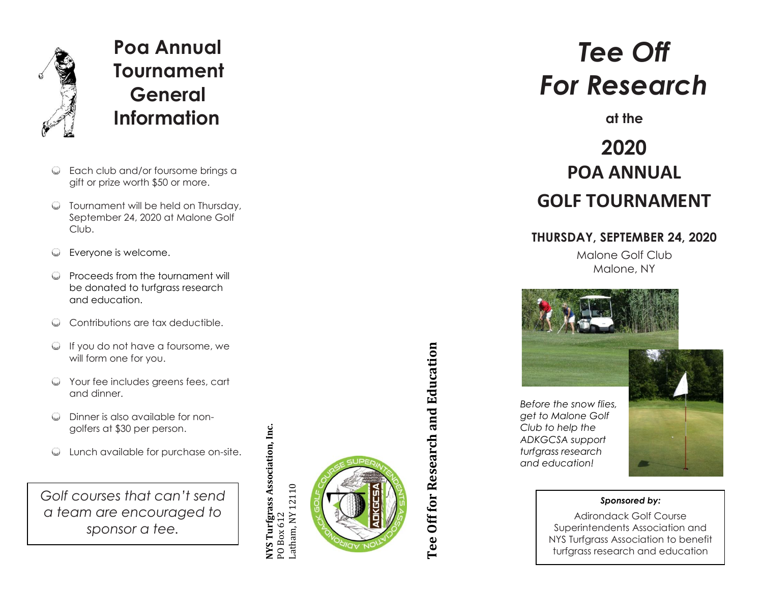

# **Poa Annual Tournament General Information**

- Each club and/or foursome brings a gift or prize worth \$50 or more.
- **Tournament will be held on Thursday,** September 24, 2020 at Malone Golf Club.
- Everyone is welcome.
- **Q** Proceeds from the tournament will be donated to turfarass research and education.
- Contributions are tax deductible.
- $\heartsuit$  If you do not have a foursome, we will form one for you.
- $\heartsuit$  Your fee includes greens fees, cart and dinner.
- Dinner is also available for non golfers at \$30 per person.
- Lunch available for purchase on -site.

*Golf courses that can't send a team are encouraged to sponsor a tee.*

NYS Turfgrass Association, Inc. **NYS Turfgrass Association, Inc.** PO Box 612<br>Latham, NY 12110 Latham, NY 12110



# Tee Off for Research and Education **Tee Off for Research and Education**

# *Tee Off For Research*

**at the**

# **2020 POA ANNUAL GOLF TOURNAMENT**

# **THURSDAY, SEPTEMBER 24, 2020**

Malone Golf Club Malone, NY



*Before the snow flies, get to Malone Golf Club to help the ADKGCSA support turfgrass research and education!*



### *Sponsored by:*

Adirondack Golf Course Superintendents Association and NYS Turfgrass Association to benefit turfgrass research and education